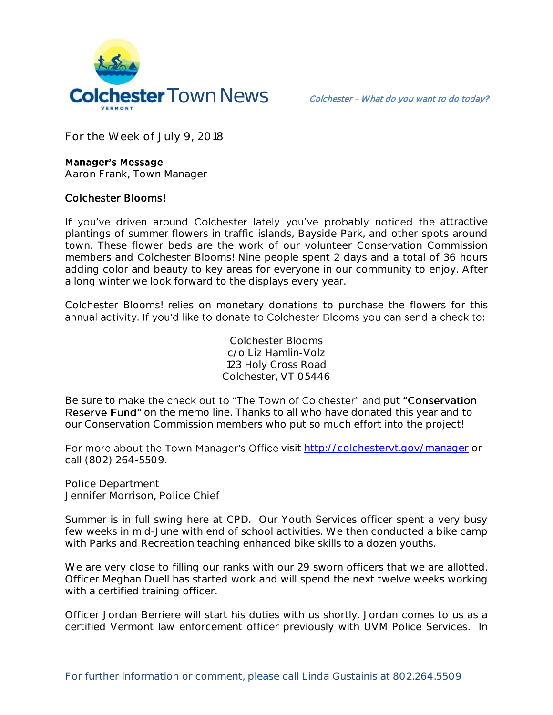

**For the Week of July 9, 2018**

## **Manager's Message**

**Aaron Frank, Town Manager**

## Colchester Blooms!

If you've driven around Colchester lately you've probably noticed the attractive plantings of summer flowers in traffic islands, Bayside Park, and other spots around town. These flower beds are the work of our volunteer Conservation Commission members and Colchester Blooms! Nine people spent 2 days and a total of 36 hours adding color and beauty to key areas for everyone in our community to enjoy. After a long winter we look forward to the displays every year.

Colchester Blooms! relies on monetary donations to purchase the flowers for this annual activity. If you'd like to donate to Colchester Blooms you can send a check to:

> Colchester Blooms c/o Liz Hamlin-Volz 123 Holy Cross Road Colchester, VT 05446

Be sure to make the check out to "The Town of Colchester" and put "Conservation **Reserve Fund"** on the memo line. Thanks to all who have donated this year and to our Conservation Commission members who put so much effort into the project!

For more about the Town Manager's Office visit<http://colchestervt.gov/manager> or call (802) 264-5509.

**Police Department Jennifer Morrison, Police Chief** 

Summer is in full swing here at CPD. Our Youth Services officer spent a very busy few weeks in mid-June with end of school activities. We then conducted a bike camp with Parks and Recreation teaching enhanced bike skills to a dozen youths.

We are very close to filling our ranks with our 29 sworn officers that we are allotted. Officer Meghan Duell has started work and will spend the next twelve weeks working with a certified training officer.

Officer Jordan Berriere will start his duties with us shortly. Jordan comes to us as a certified Vermont law enforcement officer previously with UVM Police Services. In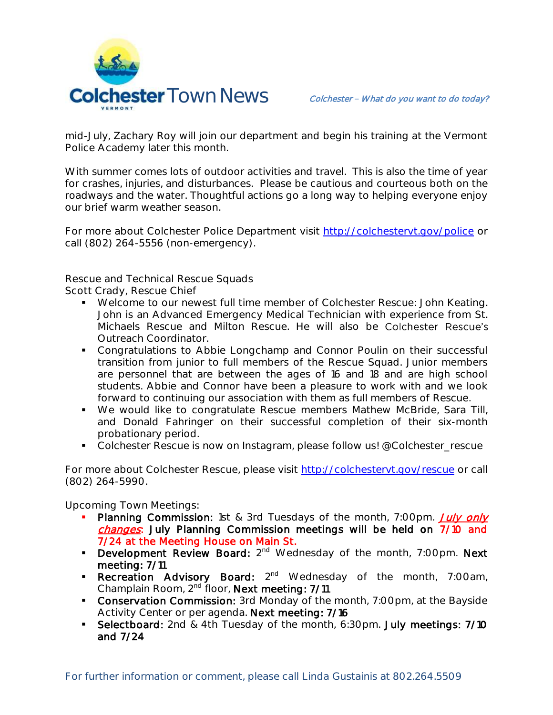

mid-July, Zachary Roy will join our department and begin his training at the Vermont Police Academy later this month.

With summer comes lots of outdoor activities and travel. This is also the time of year for crashes, injuries, and disturbances. Please be cautious and courteous both on the roadways and the water. Thoughtful actions go a long way to helping everyone enjoy our brief warm weather season.

For more about Colchester Police Department visit<http://colchestervt.gov/police> or call (802) 264-5556 (non-emergency).

**Rescue and Technical Rescue Squads**

**Scott Crady, Rescue Chief**

- Welcome to our newest full time member of Colchester Rescue: John Keating. John is an Advanced Emergency Medical Technician with experience from St. Michaels Rescue and Milton Rescue. He will also be Colchester Rescue's Outreach Coordinator.
- Congratulations to Abbie Longchamp and Connor Poulin on their successful transition from junior to full members of the Rescue Squad. Junior members are personnel that are between the ages of 16 and 18 and are high school students. Abbie and Connor have been a pleasure to work with and we look forward to continuing our association with them as full members of Rescue.
- We would like to congratulate Rescue members Mathew McBride, Sara Till, and Donald Fahringer on their successful completion of their six-month probationary period.
- Colchester Rescue is now on Instagram, please follow us! @Colchester\_rescue

For more about Colchester Rescue, please visit [http://colchestervt.gov/rescue](http://colchestervt.gov/rescue/index.shtml) or call (802) 264-5990.

**Upcoming Town Meetings:** 

- Planning Commission: 1st & 3rd Tuesdays of the month, 7:00pm. July only changes: July Planning Commission meetings will be held on 7/10 and 7/24 at the Meeting House on Main St.
- **Development Review Board:**  $2^{nd}$  Wednesday of the month, 7:00pm. Next meeting: 7/11
- **Recreation Advisory Board:** 2<sup>nd</sup> Wednesday of the month, 7:00am, Champlain Room, 2nd floor, Next meeting: 7/11
- **Conservation Commission:** 3rd Monday of the month, 7:00pm, at the Bayside Activity Center or per agenda. Next meeting: 7/16
- **Selectboard:** 2nd & 4th Tuesday of the month, 6:30pm. July meetings: 7/10 and 7/24